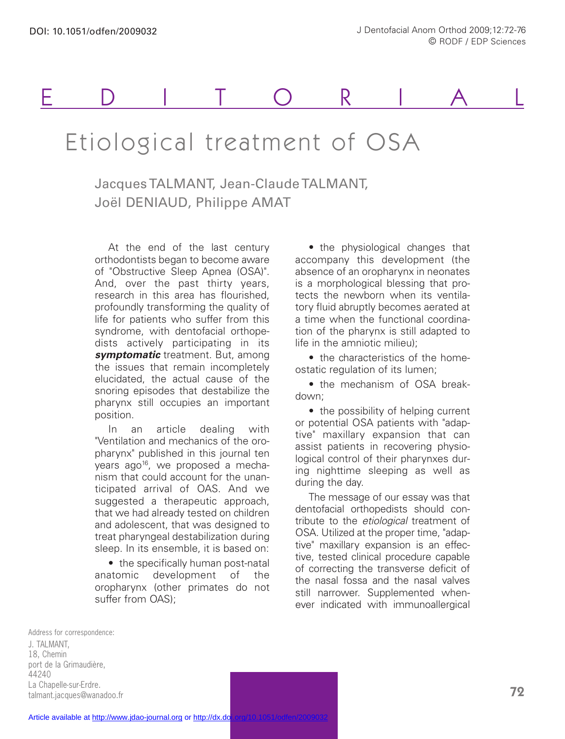# EDITORIAL

## Etiological treatment of OSA

### Jacques TALMANT, Jean-Claude TALMANT, Joël DENIAUD, Philippe AMAT

At the end of the last century orthodontists began to become aware of "Obstructive Sleep Apnea (OSA)". And, over the past thirty years, research in this area has flourished, profoundly transforming the quality of life for patients who suffer from this syndrome, with dentofacial orthopedists actively participating in its **symptomatic** treatment. But, among the issues that remain incompletely elucidated, the actual cause of the snoring episodes that destabilize the pharynx still occupies an important position.

In an article dealing with "Ventilation and mechanics of the oropharynx" published in this journal ten years ago<sup>16</sup>, we proposed a mechanism that could account for the unanticipated arrival of OAS. And we suggested a therapeutic approach, that we had already tested on children and adolescent, that was designed to treat pharyngeal destabilization during sleep. In its ensemble, it is based on:

• the specifically human post-natal anatomic development of the oropharynx (other primates do not suffer from OAS):

• the physiological changes that accompany this development (the absence of an oropharynx in neonates is a morphological blessing that protects the newborn when its ventilatory fluid abruptly becomes aerated at a time when the functional coordination of the pharynx is still adapted to life in the amniotic milieu);

• the characteristics of the homeostatic regulation of its lumen;

• the mechanism of OSA breakdown;

• the possibility of helping current or potential OSA patients with "adaptive" maxillary expansion that can assist patients in recovering physiological control of their pharynxes during nighttime sleeping as well as during the day.

The message of our essay was that dentofacial orthopedists should contribute to the *etiological* treatment of OSA. Utilized at the proper time, "adaptive" maxillary expansion is an effective, tested clinical procedure capable of correcting the transverse deficit of the nasal fossa and the nasal valves still narrower. Supplemented whenever indicated with immunoallergical

Address for correspondence: J. TALMANT, 18, Chemin port de la Grimaudière, 44240 La Chapelle-sur-Erdre. talmant.jacques@wanadoo.fr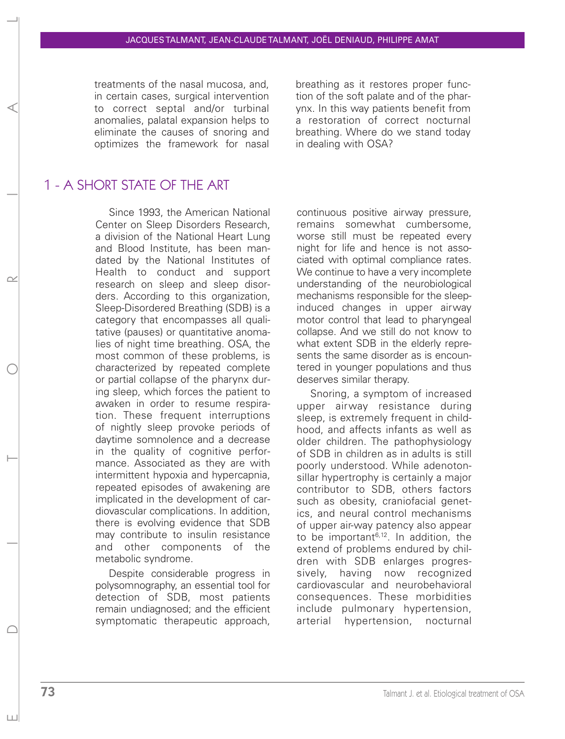treatments of the nasal mucosa, and, in certain cases, surgical intervention to correct septal and/or turbinal anomalies, palatal expansion helps to eliminate the causes of snoring and optimizes the framework for nasal breathing as it restores proper function of the soft palate and of the pharynx. In this way patients benefit from a restoration of correct nocturnal breathing. Where do we stand today in dealing with OSA?

#### 1 - A SHORT STATE OF THE ART

Since 1993, the American National Center on Sleep Disorders Research, a division of the National Heart Lung and Blood Institute, has been mandated by the National Institutes of Health to conduct and support research on sleep and sleep disorders. According to this organization, Sleep-Disordered Breathing (SDB) is a category that encompasses all qualitative (pauses) or quantitative anomalies of night time breathing. OSA, the most common of these problems, is characterized by repeated complete or partial collapse of the pharynx during sleep, which forces the patient to awaken in order to resume respiration. These frequent interruptions of nightly sleep provoke periods of daytime somnolence and a decrease in the quality of cognitive performance. Associated as they are with intermittent hypoxia and hypercapnia, repeated episodes of awakening are implicated in the development of cardiovascular complications. In addition, there is evolving evidence that SDB may contribute to insulin resistance and other components of the metabolic syndrome.

Despite considerable progress in polysomnography, an essential tool for detection of SDB, most patients remain undiagnosed; and the efficient symptomatic therapeutic approach,

continuous positive airway pressure, remains somewhat cumbersome, worse still must be repeated every night for life and hence is not associated with optimal compliance rates. We continue to have a very incomplete understanding of the neurobiological mechanisms responsible for the sleepinduced changes in upper airway motor control that lead to pharyngeal collapse. And we still do not know to what extent SDB in the elderly represents the same disorder as is encountered in younger populations and thus deserves similar therapy.

Snoring, a symptom of increased upper airway resistance during sleep, is extremely frequent in childhood, and affects infants as well as older children. The pathophysiology of SDB in children as in adults is still poorly understood. While adenotonsillar hypertrophy is certainly a major contributor to SDB, others factors such as obesity, craniofacial genetics, and neural control mechanisms of upper air-way patency also appear to be important $6,12$ . In addition, the extend of problems endured by children with SDB enlarges progressively, having now recognized cardiovascular and neurobehavioral consequences. These morbidities include pulmonary hypertension, arterial hypertension, nocturnal

 $| + |$ 

E D I T O R I A L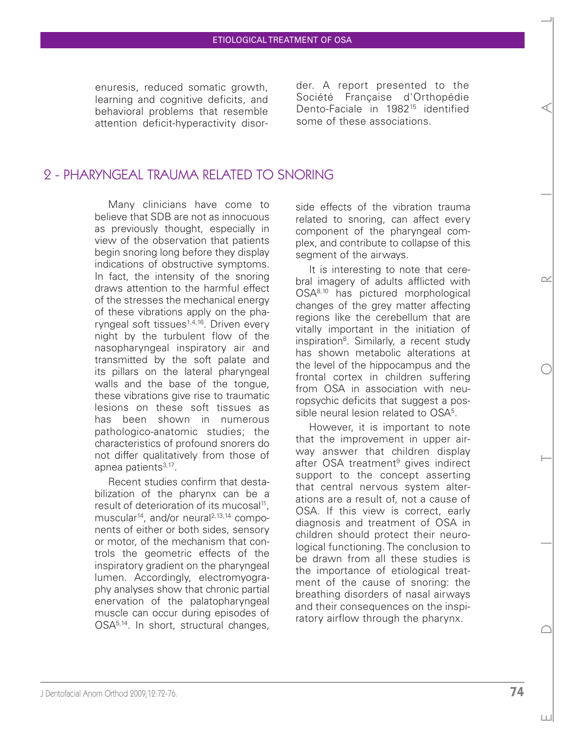enuresis, reduced somatic growth, learning and cognitive deficits, and behavioral problems that resemble attention deficit-hyperactivity disorder. A report presented to the Société Française d'Orthopédie Dento-Faciale in 1982<sup>15</sup> identified some of these associations.

#### 2 - PHARYNGEAL TRAUMA RELATED TO SNORING

Many clinicians have come to believe that SDB are not as innocuous as previously thought, especially in view of the observation that patients begin snoring long before they display indications of obstructive symptoms. In fact, the intensity of the snoring draws attention to the harmful effect of the stresses the mechanical energy of these vibrations apply on the pharyngeal soft tissues<sup>1,4,16</sup>. Driven every night by the turbulent flow of the nasopharyngeal inspiratory air and transmitted by the soft palate and its pillars on the lateral pharyngeal walls and the base of the tongue, these vibrations give rise to traumatic lesions on these soft tissues as has been shown in numerous pathologico-anatomic studies; the characteristics of profound snorers do not differ qualitatively from those of apnea patients<sup>3,17</sup>.

Recent studies confirm that destabilization of the pharynx can be a result of deterioration of its mucosal<sup>11</sup>, muscular<sup>14</sup>, and/or neural<sup>2,13,14</sup> components of either or both sides, sensory or motor, of the mechanism that controls the geometric effects of the inspiratory gradient on the pharyngeal lumen. Accordingly, electromyography analyses show that chronic partial enervation of the palatopharyngeal muscle can occur during episodes of OSA<sup>5,14</sup>. In short, structural changes, side effects of the vibration trauma related to snoring, can affect every component of the pharyngeal complex, and contribute to collapse of this segment of the airways.

It is interesting to note that cerebral imagery of adults afflicted with OSA8,10 has pictured morphological changes of the grey matter affecting regions like the cerebellum that are vitally important in the initiation of inspiration<sup>8</sup>. Similarly, a recent study has shown metabolic alterations at the level of the hippocampus and the frontal cortex in children suffering from OSA in association with neuropsychic deficits that suggest a possible neural lesion related to OSA<sup>5</sup>.

However, it is important to note that the improvement in upper airway answer that children display after OSA treatment<sup>9</sup> gives indirect support to the concept asserting that central nervous system alterations are a result of, not a cause of OSA. If this view is correct, early diagnosis and treatment of OSA in children should protect their neurological functioning. The conclusion to be drawn from all these studies is the importance of etiological treatment of the cause of snoring: the breathing disorders of nasal airways and their consequences on the inspiratory airflow through the pharynx.

 $\subset$ 

 $| + |$ 

E D I T O R I A L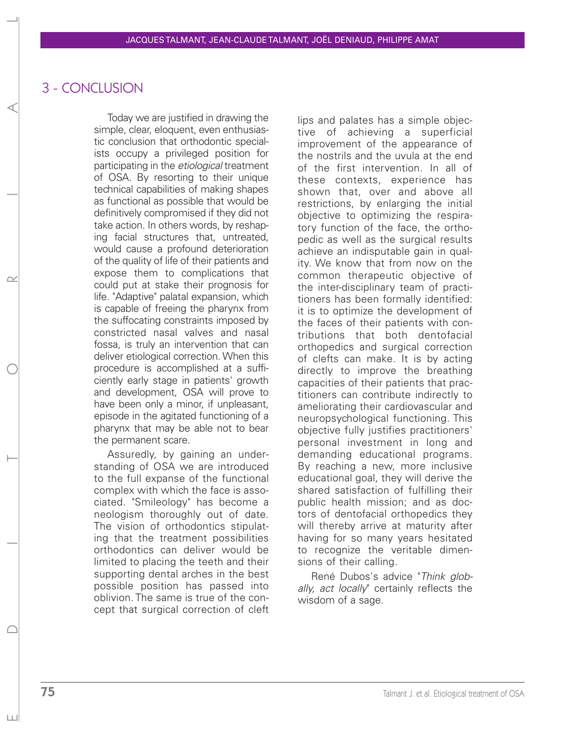#### 3 - CONCLUSION

Today we are justified in drawing the simple, clear, eloquent, even enthusiastic conclusion that orthodontic specialists occupy a privileged position for participating in the *etiological* treatment of OSA. By resorting to their unique technical capabilities of making shapes as functional as possible that would be definitively compromised if they did not take action. In others words, by reshaping facial structures that, untreated, would cause a profound deterioration of the quality of life of their patients and expose them to complications that could put at stake their prognosis for life. "Adaptive" palatal expansion, which is capable of freeing the pharynx from the suffocating constraints imposed by constricted nasal valves and nasal fossa, is truly an intervention that can deliver etiological correction. When this procedure is accomplished at a sufficiently early stage in patients' growth and development, OSA will prove to have been only a minor, if unpleasant, episode in the agitated functioning of a pharynx that may be able not to bear the permanent scare.

Assuredly, by gaining an understanding of OSA we are introduced to the full expanse of the functional complex with which the face is associated. "Smileology" has become a neologism thoroughly out of date. The vision of orthodontics stipulating that the treatment possibilities orthodontics can deliver would be limited to placing the teeth and their supporting dental arches in the best possible position has passed into oblivion. The same is true of the concept that surgical correction of cleft lips and palates has a simple objective of achieving a superficial improvement of the appearance of the nostrils and the uvula at the end of the first intervention. In all of these contexts, experience has shown that, over and above all restrictions, by enlarging the initial objective to optimizing the respiratory function of the face, the orthopedic as well as the surgical results achieve an indisputable gain in quality. We know that from now on the common therapeutic objective of the inter-disciplinary team of practitioners has been formally identified: it is to optimize the development of the faces of their patients with contributions that both dentofacial orthopedics and surgical correction of clefts can make. It is by acting directly to improve the breathing capacities of their patients that practitioners can contribute indirectly to ameliorating their cardiovascular and neuropsychological functioning. This objective fully justifies practitioners' personal investment in long and demanding educational programs. By reaching a new, more inclusive educational goal, they will derive the shared satisfaction of fulfilling their public health mission; and as doctors of dentofacial orthopedics they will thereby arrive at maturity after having for so many years hesitated to recognize the veritable dimensions of their calling.

René Dubos's advice "*Think globally, act locally*" certainly reflects the wisdom of a sage.

 $|+|$ 

E D I T O R I A L